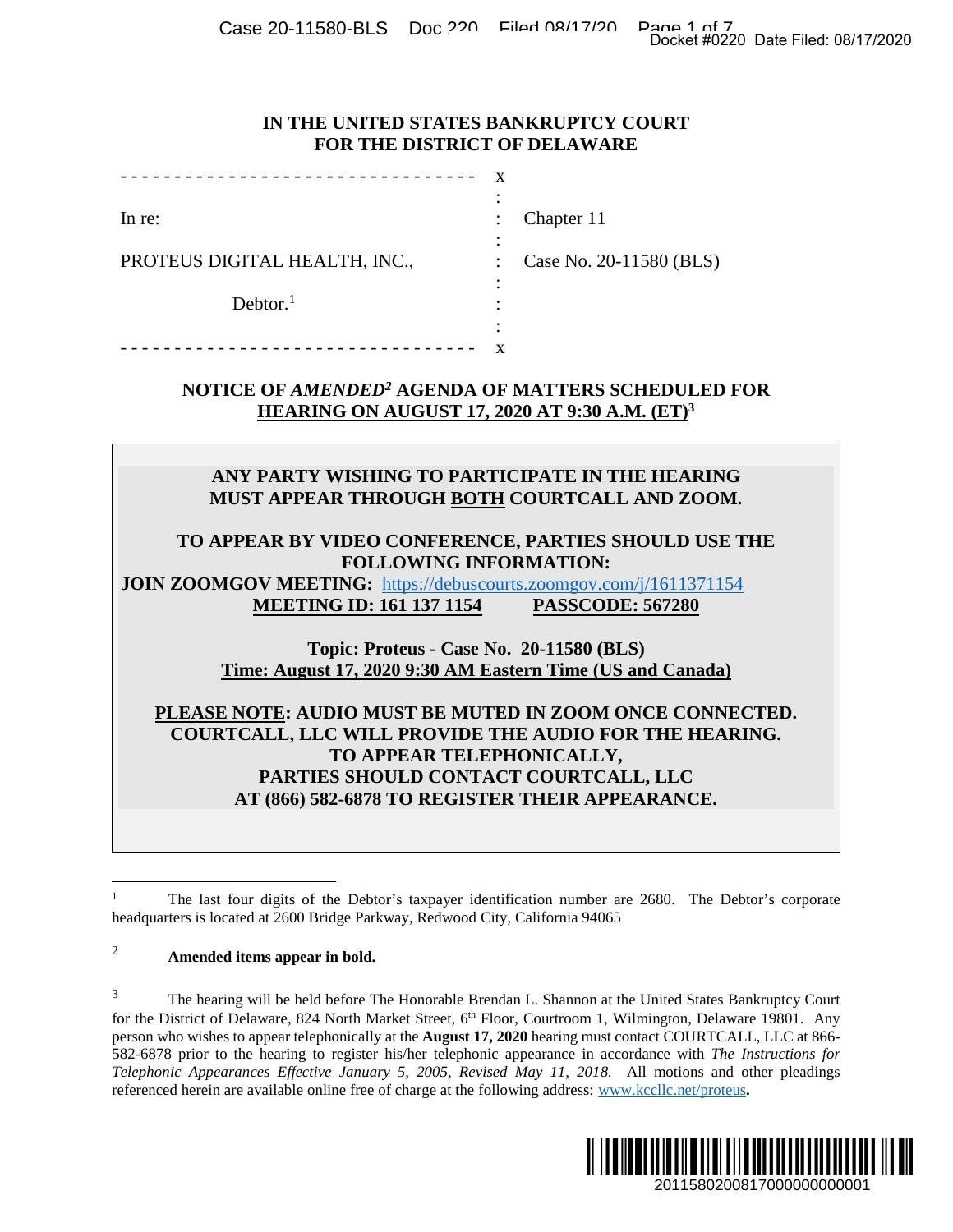Case 20-11580-BLS Doc 220 Dochard Dage 1 of 7<br>Docket #0220 Date Filed: 08/17/2020

#### **IN THE UNITED STATES BANKRUPTCY COURT FOR THE DISTRICT OF DELAWARE**

|                               | $\blacksquare$ |                         |
|-------------------------------|----------------|-------------------------|
| In re:                        | $\ddot{\cdot}$ | Chapter 11              |
|                               | ٠              |                         |
| PROTEUS DIGITAL HEALTH, INC., |                | Case No. 20-11580 (BLS) |
|                               | ٠              |                         |
| Dektor. <sup>1</sup>          | ٠              |                         |
|                               | ٠<br>٠         |                         |
|                               |                |                         |

# **NOTICE OF** *AMENDED<sup>2</sup>* **AGENDA OF MATTERS SCHEDULED FOR HEARING ON AUGUST 17, 2020 AT 9:30 A.M. (ET)<sup>3</sup>**

# **ANY PARTY WISHING TO PARTICIPATE IN THE HEARING MUST APPEAR THROUGH BOTH COURTCALL AND ZOOM.**

#### **TO APPEAR BY VIDEO CONFERENCE, PARTIES SHOULD USE THE FOLLOWING INFORMATION:**

**JOIN ZOOMGOV MEETING:** https://debuscourts.zoomgov.com/j/1611371154 **MEETING ID: 161 137 1154 PASSCODE: 567280** 

> **Topic: Proteus - Case No. 20-11580 (BLS) Time: August 17, 2020 9:30 AM Eastern Time (US and Canada)**

# **PLEASE NOTE: AUDIO MUST BE MUTED IN ZOOM ONCE CONNECTED. COURTCALL, LLC WILL PROVIDE THE AUDIO FOR THE HEARING. TO APPEAR TELEPHONICALLY, PARTIES SHOULD CONTACT COURTCALL, LLC AT (866) 582-6878 TO REGISTER THEIR APPEARANCE.**

# <sup>2</sup> **Amended items appear in bold.**

<sup>&</sup>lt;sup>3</sup> The hearing will be held before The Honorable Brendan L. Shannon at the United States Bankruptcy Court for the District of Delaware, 824 North Market Street, 6<sup>th</sup> Floor, Courtroom 1, Wilmington, Delaware 19801. Any person who wishes to appear telephonically at the **August 17, 2020** hearing must contact COURTCALL, LLC at 866- 582-6878 prior to the hearing to register his/her telephonic appearance in accordance with *The Instructions for Telephonic Appearances Effective January 5, 2005, Revised May 11, 2018.* All motions and other pleadings referenced herein are available online free of charge at the following address: www.kccllc.net/proteus**.**  Docket #0220 Date Filed: 08/17/2020<br>
2011<br>
2010 DELS<br>
2010 DELS<br>
2010 DELS<br>
2010 DELS<br>
2010 DELS<br>
2010 DELS<br>
2011<br>
2011 DELS<br>
2011 DELS<br>
2011 BEARING.<br>
2011 BEARING.<br>
2011 BEARING.<br>
2011 BEARING.<br>
2011 BEARING.<br>
2011 BEARI



<sup>1</sup> The last four digits of the Debtor's taxpayer identification number are 2680. The Debtor's corporate headquarters is located at 2600 Bridge Parkway, Redwood City, California 94065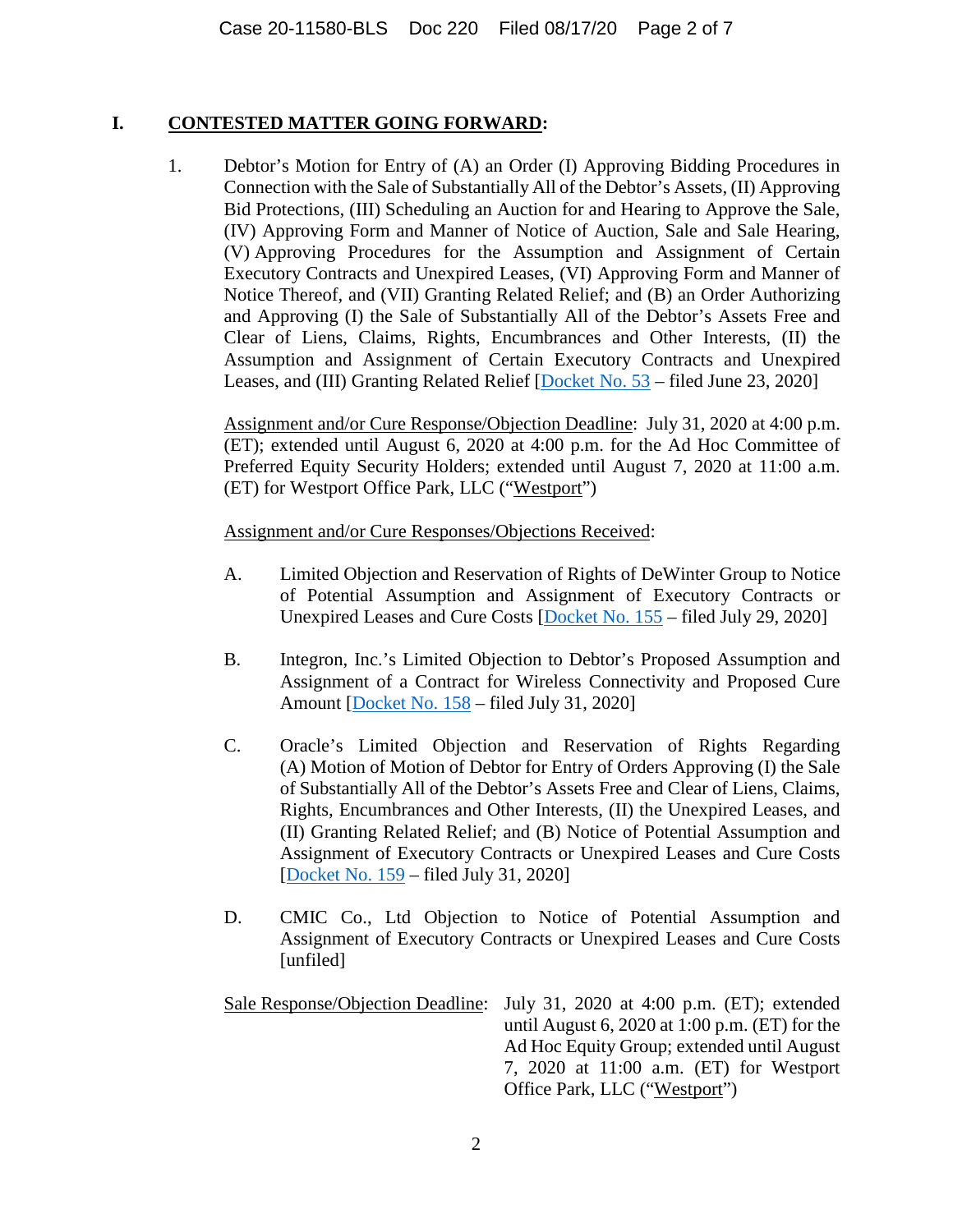## **I. CONTESTED MATTER GOING FORWARD:**

1. Debtor's Motion for Entry of (A) an Order (I) Approving Bidding Procedures in Connection with the Sale of Substantially All of the Debtor's Assets, (II) Approving Bid Protections, (III) Scheduling an Auction for and Hearing to Approve the Sale, (IV) Approving Form and Manner of Notice of Auction, Sale and Sale Hearing, (V) Approving Procedures for the Assumption and Assignment of Certain Executory Contracts and Unexpired Leases, (VI) Approving Form and Manner of Notice Thereof, and (VII) Granting Related Relief; and (B) an Order Authorizing and Approving (I) the Sale of Substantially All of the Debtor's Assets Free and Clear of Liens, Claims, Rights, Encumbrances and Other Interests, (II) the Assumption and Assignment of Certain Executory Contracts and Unexpired Leases, and (III) Granting Related Relief [Docket No. 53 – filed June 23, 2020]

Assignment and/or Cure Response/Objection Deadline: July 31, 2020 at 4:00 p.m. (ET); extended until August 6, 2020 at 4:00 p.m. for the Ad Hoc Committee of Preferred Equity Security Holders; extended until August 7, 2020 at 11:00 a.m. (ET) for Westport Office Park, LLC ("Westport")

Assignment and/or Cure Responses/Objections Received:

- A. Limited Objection and Reservation of Rights of DeWinter Group to Notice of Potential Assumption and Assignment of Executory Contracts or Unexpired Leases and Cure Costs [Docket No. 155 – filed July 29, 2020]
- B. Integron, Inc.'s Limited Objection to Debtor's Proposed Assumption and Assignment of a Contract for Wireless Connectivity and Proposed Cure Amount [Docket No. 158 – filed July 31, 2020]
- C. Oracle's Limited Objection and Reservation of Rights Regarding (A) Motion of Motion of Debtor for Entry of Orders Approving (I) the Sale of Substantially All of the Debtor's Assets Free and Clear of Liens, Claims, Rights, Encumbrances and Other Interests, (II) the Unexpired Leases, and (II) Granting Related Relief; and (B) Notice of Potential Assumption and Assignment of Executory Contracts or Unexpired Leases and Cure Costs [Docket No. 159 – filed July 31, 2020]
- D. CMIC Co., Ltd Objection to Notice of Potential Assumption and Assignment of Executory Contracts or Unexpired Leases and Cure Costs [unfiled]
- Sale Response/Objection Deadline: July 31, 2020 at 4:00 p.m. (ET); extended until August 6, 2020 at 1:00 p.m. (ET) for the Ad Hoc Equity Group; extended until August 7, 2020 at 11:00 a.m. (ET) for Westport Office Park, LLC ("Westport")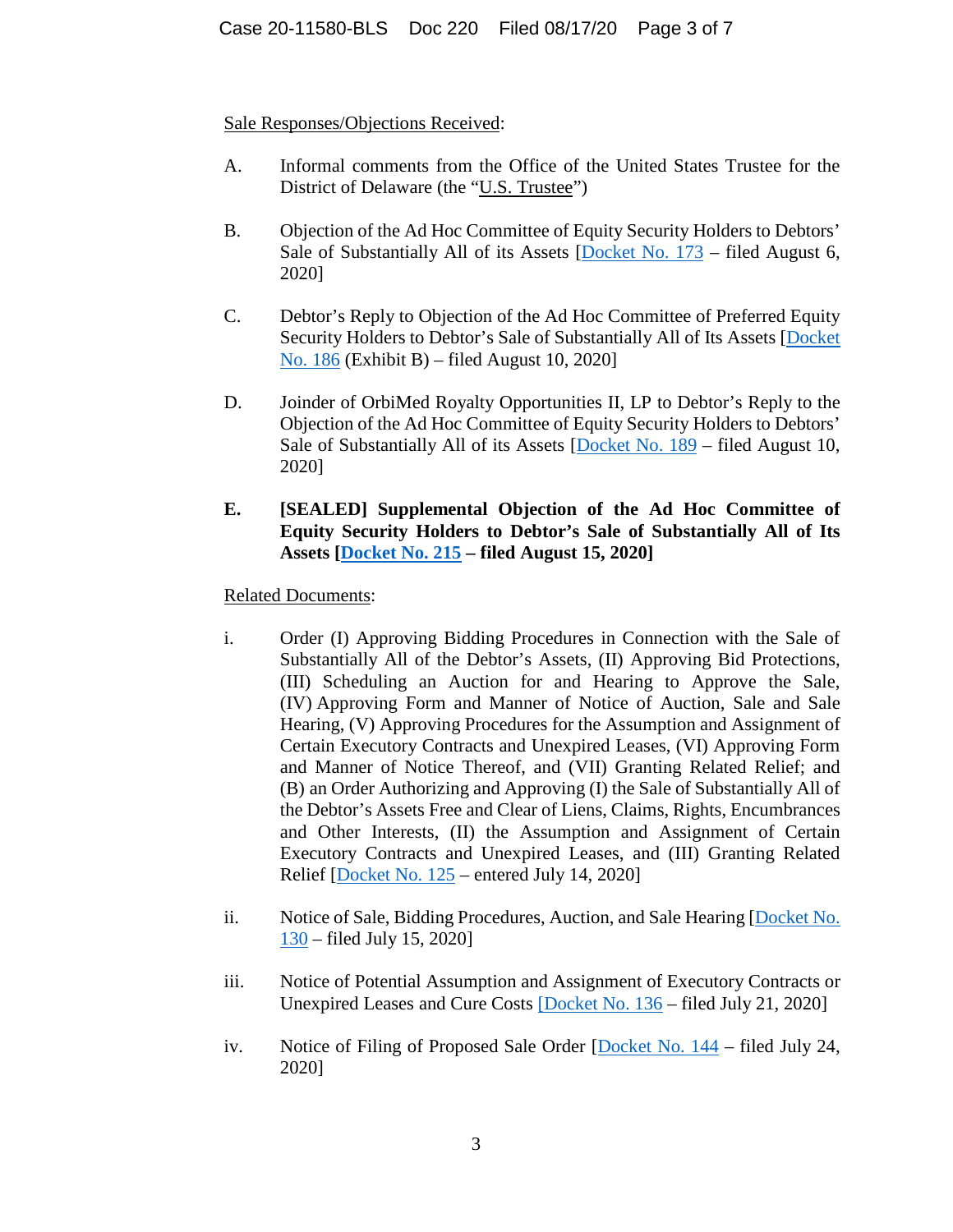# Sale Responses/Objections Received:

- A. Informal comments from the Office of the United States Trustee for the District of Delaware (the "U.S. Trustee")
- B. Objection of the Ad Hoc Committee of Equity Security Holders to Debtors' Sale of Substantially All of its Assets [Docket No. 173 – filed August 6, 2020]
- C. Debtor's Reply to Objection of the Ad Hoc Committee of Preferred Equity Security Holders to Debtor's Sale of Substantially All of Its Assets [Docket No. 186 (Exhibit B) – filed August 10, 2020]
- D. Joinder of OrbiMed Royalty Opportunities II, LP to Debtor's Reply to the Objection of the Ad Hoc Committee of Equity Security Holders to Debtors' Sale of Substantially All of its Assets [Docket No. 189 – filed August 10, 2020]
- **E. [SEALED] Supplemental Objection of the Ad Hoc Committee of Equity Security Holders to Debtor's Sale of Substantially All of Its Assets [Docket No. 215 – filed August 15, 2020]**

# Related Documents:

- i. Order (I) Approving Bidding Procedures in Connection with the Sale of Substantially All of the Debtor's Assets, (II) Approving Bid Protections, (III) Scheduling an Auction for and Hearing to Approve the Sale, (IV) Approving Form and Manner of Notice of Auction, Sale and Sale Hearing, (V) Approving Procedures for the Assumption and Assignment of Certain Executory Contracts and Unexpired Leases, (VI) Approving Form and Manner of Notice Thereof, and (VII) Granting Related Relief; and (B) an Order Authorizing and Approving (I) the Sale of Substantially All of the Debtor's Assets Free and Clear of Liens, Claims, Rights, Encumbrances and Other Interests, (II) the Assumption and Assignment of Certain Executory Contracts and Unexpired Leases, and (III) Granting Related Relief [Docket No. 125 – entered July 14, 2020]
- ii. Notice of Sale, Bidding Procedures, Auction, and Sale Hearing [Docket No. 130 – filed July 15, 2020]
- iii. Notice of Potential Assumption and Assignment of Executory Contracts or Unexpired Leases and Cure Costs [Docket No. 136 – filed July 21, 2020]
- iv. Notice of Filing of Proposed Sale Order [Docket No. 144 filed July 24, 2020]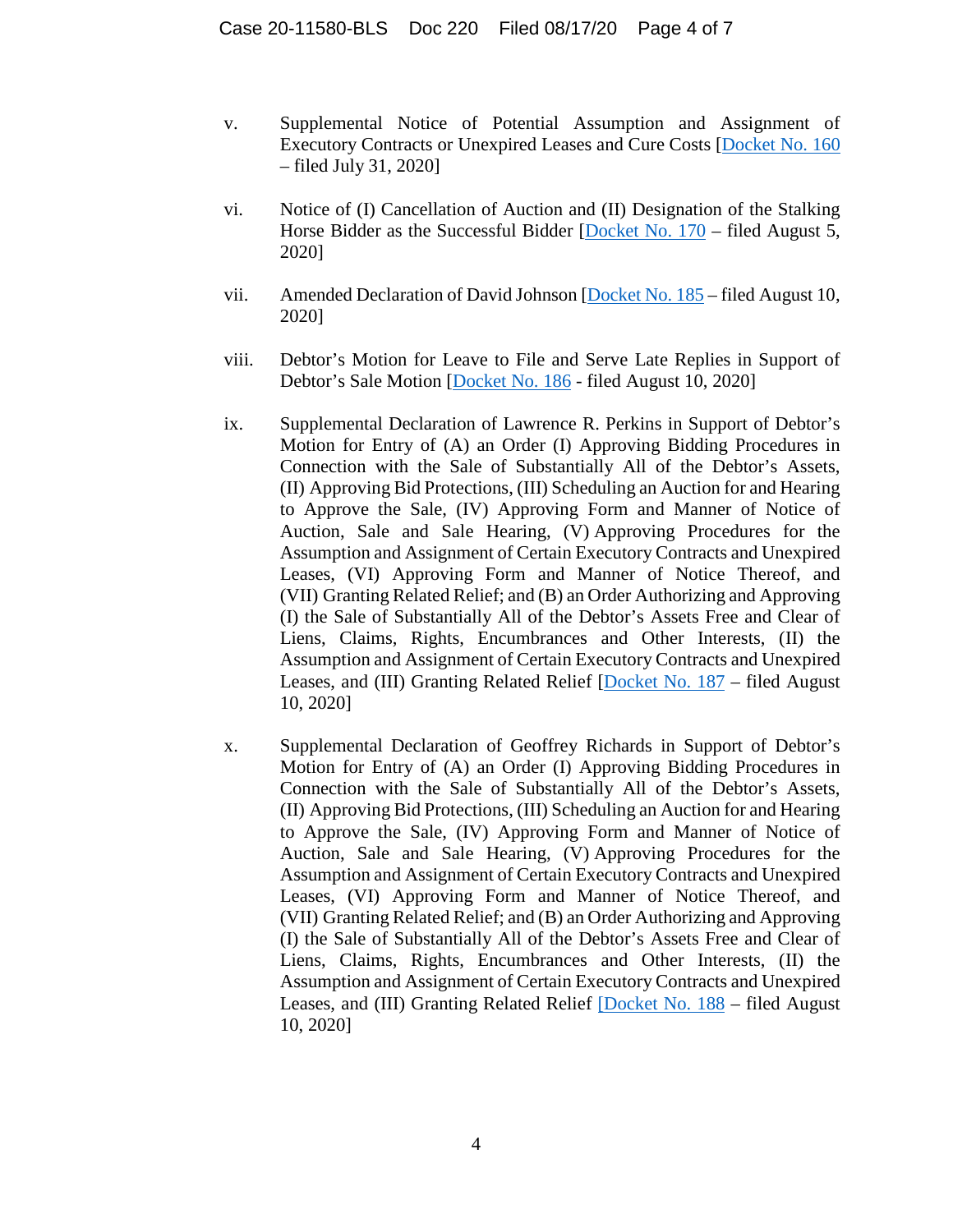- v. Supplemental Notice of Potential Assumption and Assignment of Executory Contracts or Unexpired Leases and Cure Costs [Docket No. 160 – filed July 31, 2020]
- vi. Notice of (I) Cancellation of Auction and (II) Designation of the Stalking Horse Bidder as the Successful Bidder [Docket No. 170 – filed August 5, 2020]
- vii. Amended Declaration of David Johnson [Docket No. 185 filed August 10, 2020]
- viii. Debtor's Motion for Leave to File and Serve Late Replies in Support of Debtor's Sale Motion [Docket No. 186 - filed August 10, 2020]
- ix. Supplemental Declaration of Lawrence R. Perkins in Support of Debtor's Motion for Entry of (A) an Order (I) Approving Bidding Procedures in Connection with the Sale of Substantially All of the Debtor's Assets, (II) Approving Bid Protections, (III) Scheduling an Auction for and Hearing to Approve the Sale, (IV) Approving Form and Manner of Notice of Auction, Sale and Sale Hearing, (V) Approving Procedures for the Assumption and Assignment of Certain Executory Contracts and Unexpired Leases, (VI) Approving Form and Manner of Notice Thereof, and (VII) Granting Related Relief; and (B) an Order Authorizing and Approving (I) the Sale of Substantially All of the Debtor's Assets Free and Clear of Liens, Claims, Rights, Encumbrances and Other Interests, (II) the Assumption and Assignment of Certain Executory Contracts and Unexpired Leases, and (III) Granting Related Relief [Docket No. 187 – filed August 10, 2020]
- x. Supplemental Declaration of Geoffrey Richards in Support of Debtor's Motion for Entry of (A) an Order (I) Approving Bidding Procedures in Connection with the Sale of Substantially All of the Debtor's Assets, (II) Approving Bid Protections, (III) Scheduling an Auction for and Hearing to Approve the Sale, (IV) Approving Form and Manner of Notice of Auction, Sale and Sale Hearing, (V) Approving Procedures for the Assumption and Assignment of Certain Executory Contracts and Unexpired Leases, (VI) Approving Form and Manner of Notice Thereof, and (VII) Granting Related Relief; and (B) an Order Authorizing and Approving (I) the Sale of Substantially All of the Debtor's Assets Free and Clear of Liens, Claims, Rights, Encumbrances and Other Interests, (II) the Assumption and Assignment of Certain Executory Contracts and Unexpired Leases, and (III) Granting Related Relief [Docket No. 188 – filed August 10, 2020]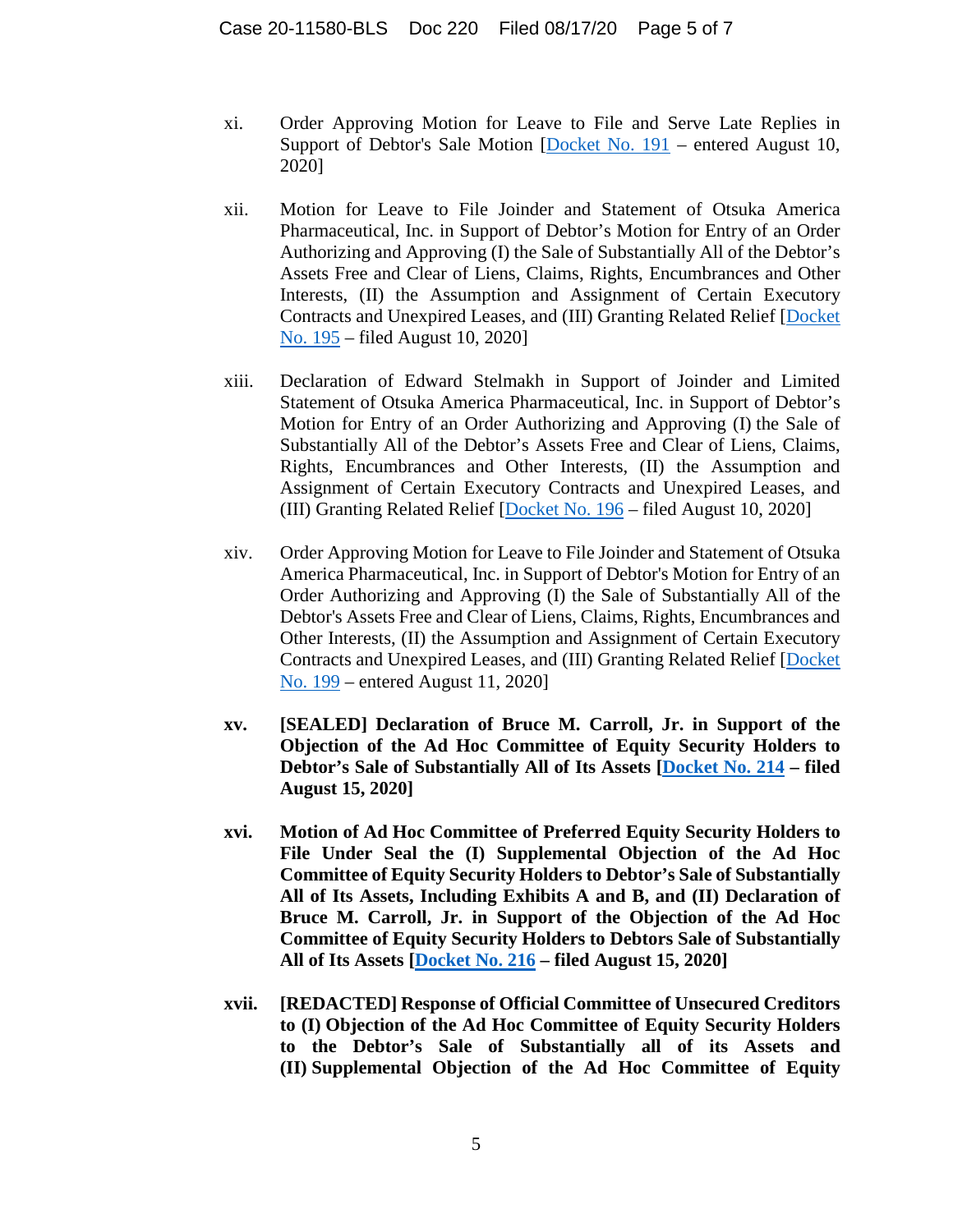- xi. Order Approving Motion for Leave to File and Serve Late Replies in Support of Debtor's Sale Motion [Docket No. 191 – entered August 10, 2020]
- xii. Motion for Leave to File Joinder and Statement of Otsuka America Pharmaceutical, Inc. in Support of Debtor's Motion for Entry of an Order Authorizing and Approving (I) the Sale of Substantially All of the Debtor's Assets Free and Clear of Liens, Claims, Rights, Encumbrances and Other Interests, (II) the Assumption and Assignment of Certain Executory Contracts and Unexpired Leases, and (III) Granting Related Relief [Docket No. 195 – filed August 10, 2020]
- xiii. Declaration of Edward Stelmakh in Support of Joinder and Limited Statement of Otsuka America Pharmaceutical, Inc. in Support of Debtor's Motion for Entry of an Order Authorizing and Approving (I) the Sale of Substantially All of the Debtor's Assets Free and Clear of Liens, Claims, Rights, Encumbrances and Other Interests, (II) the Assumption and Assignment of Certain Executory Contracts and Unexpired Leases, and (III) Granting Related Relief [Docket No. 196 – filed August 10, 2020]
- xiv. Order Approving Motion for Leave to File Joinder and Statement of Otsuka America Pharmaceutical, Inc. in Support of Debtor's Motion for Entry of an Order Authorizing and Approving (I) the Sale of Substantially All of the Debtor's Assets Free and Clear of Liens, Claims, Rights, Encumbrances and Other Interests, (II) the Assumption and Assignment of Certain Executory Contracts and Unexpired Leases, and (III) Granting Related Relief [Docket No. 199 – entered August 11, 2020]
- **xv. [SEALED] Declaration of Bruce M. Carroll, Jr. in Support of the Objection of the Ad Hoc Committee of Equity Security Holders to Debtor's Sale of Substantially All of Its Assets [Docket No. 214 – filed August 15, 2020]**
- **xvi. Motion of Ad Hoc Committee of Preferred Equity Security Holders to File Under Seal the (I) Supplemental Objection of the Ad Hoc Committee of Equity Security Holders to Debtor's Sale of Substantially All of Its Assets, Including Exhibits A and B, and (II) Declaration of Bruce M. Carroll, Jr. in Support of the Objection of the Ad Hoc Committee of Equity Security Holders to Debtors Sale of Substantially All of Its Assets [Docket No. 216 – filed August 15, 2020]**
- **xvii. [REDACTED] Response of Official Committee of Unsecured Creditors to (I) Objection of the Ad Hoc Committee of Equity Security Holders to the Debtor's Sale of Substantially all of its Assets and (II) Supplemental Objection of the Ad Hoc Committee of Equity**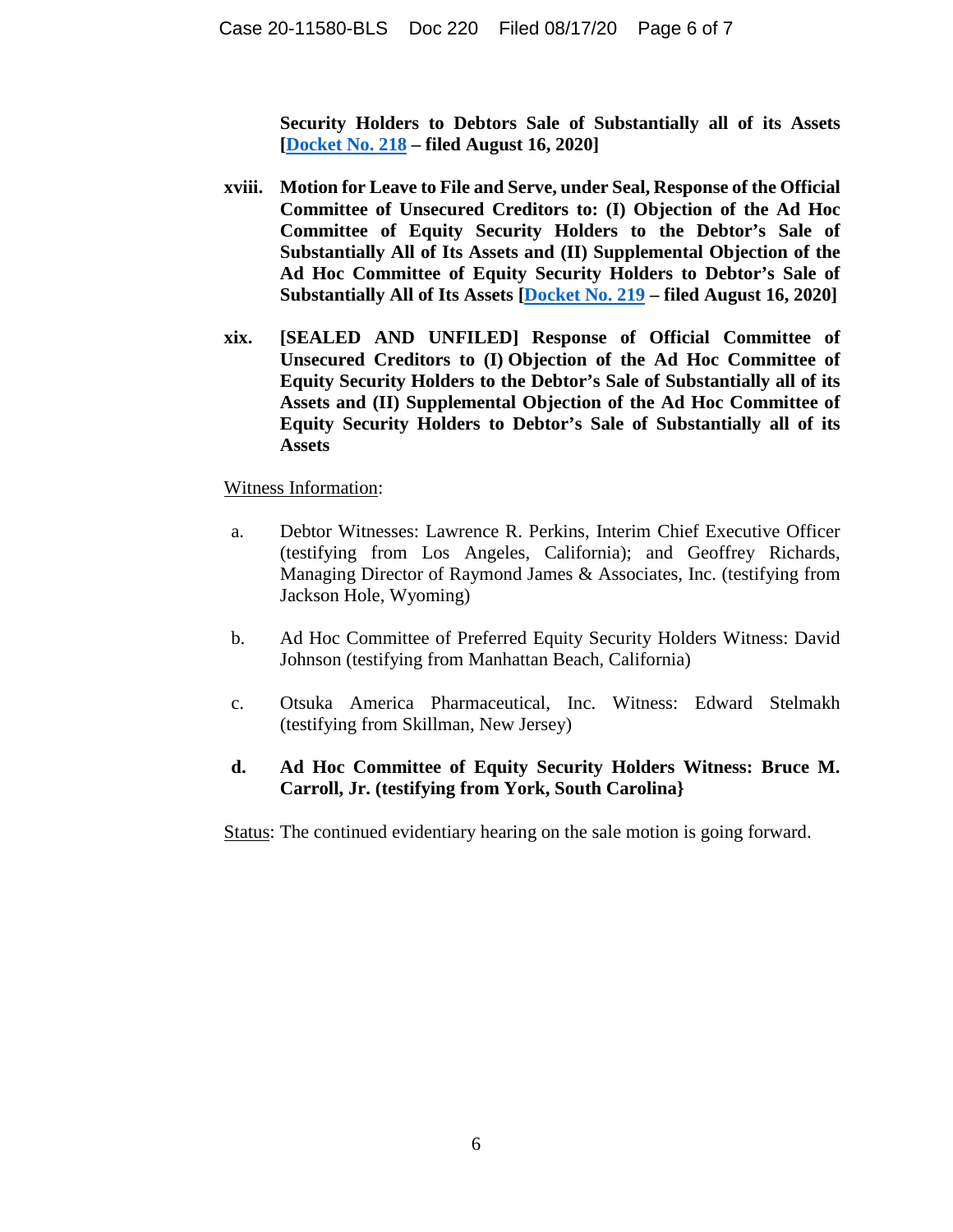**Security Holders to Debtors Sale of Substantially all of its Assets [Docket No. 218 – filed August 16, 2020]** 

- **xviii. Motion for Leave to File and Serve, under Seal, Response of the Official Committee of Unsecured Creditors to: (I) Objection of the Ad Hoc Committee of Equity Security Holders to the Debtor's Sale of Substantially All of Its Assets and (II) Supplemental Objection of the Ad Hoc Committee of Equity Security Holders to Debtor's Sale of Substantially All of Its Assets [Docket No. 219 – filed August 16, 2020]**
- **xix. [SEALED AND UNFILED] Response of Official Committee of Unsecured Creditors to (I) Objection of the Ad Hoc Committee of Equity Security Holders to the Debtor's Sale of Substantially all of its Assets and (II) Supplemental Objection of the Ad Hoc Committee of Equity Security Holders to Debtor's Sale of Substantially all of its Assets**

#### Witness Information:

- a. Debtor Witnesses: Lawrence R. Perkins, Interim Chief Executive Officer (testifying from Los Angeles, California); and Geoffrey Richards, Managing Director of Raymond James & Associates, Inc. (testifying from Jackson Hole, Wyoming)
- b. Ad Hoc Committee of Preferred Equity Security Holders Witness: David Johnson (testifying from Manhattan Beach, California)
- c. Otsuka America Pharmaceutical, Inc. Witness: Edward Stelmakh (testifying from Skillman, New Jersey)

# **d. Ad Hoc Committee of Equity Security Holders Witness: Bruce M. Carroll, Jr. (testifying from York, South Carolina}**

Status: The continued evidentiary hearing on the sale motion is going forward.